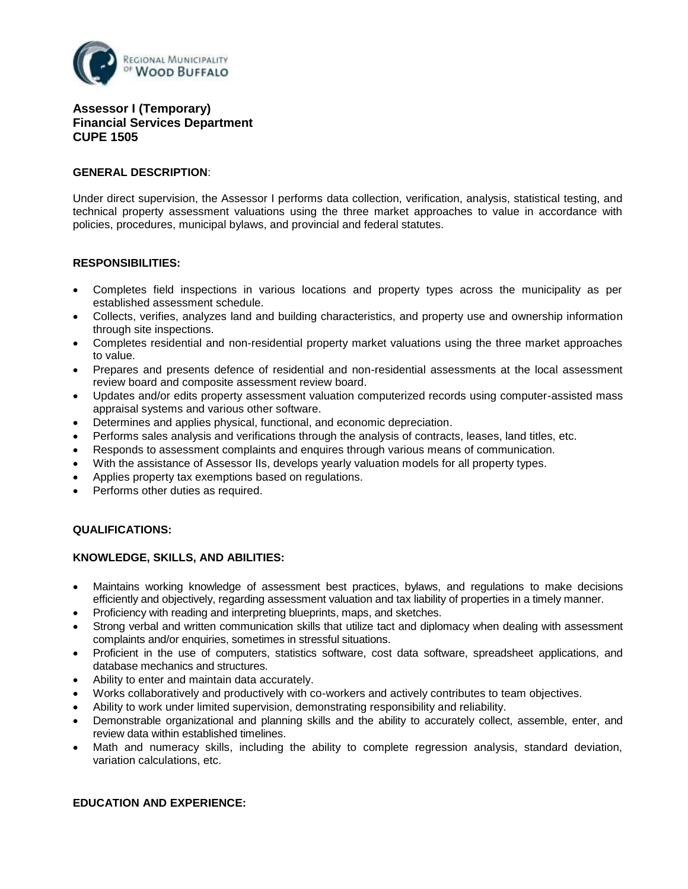

# **Assessor I (Temporary) Financial Services Department CUPE 1505**

### **GENERAL DESCRIPTION**:

Under direct supervision, the Assessor I performs data collection, verification, analysis, statistical testing, and technical property assessment valuations using the three market approaches to value in accordance with policies, procedures, municipal bylaws, and provincial and federal statutes.

### **RESPONSIBILITIES:**

- Completes field inspections in various locations and property types across the municipality as per established assessment schedule.
- Collects, verifies, analyzes land and building characteristics, and property use and ownership information through site inspections.
- Completes residential and non-residential property market valuations using the three market approaches to value.
- Prepares and presents defence of residential and non-residential assessments at the local assessment review board and composite assessment review board.
- Updates and/or edits property assessment valuation computerized records using computer-assisted mass appraisal systems and various other software.
- Determines and applies physical, functional, and economic depreciation.
- Performs sales analysis and verifications through the analysis of contracts, leases, land titles, etc.
- Responds to assessment complaints and enquires through various means of communication.
- With the assistance of Assessor IIs, develops yearly valuation models for all property types.
- Applies property tax exemptions based on regulations.
- Performs other duties as required.

## **QUALIFICATIONS:**

#### **KNOWLEDGE, SKILLS, AND ABILITIES:**

- Maintains working knowledge of assessment best practices, bylaws, and regulations to make decisions efficiently and objectively, regarding assessment valuation and tax liability of properties in a timely manner.
- Proficiency with reading and interpreting blueprints, maps, and sketches.
- Strong verbal and written communication skills that utilize tact and diplomacy when dealing with assessment complaints and/or enquiries, sometimes in stressful situations.
- Proficient in the use of computers, statistics software, cost data software, spreadsheet applications, and database mechanics and structures.
- Ability to enter and maintain data accurately.
- Works collaboratively and productively with co-workers and actively contributes to team objectives.
- Ability to work under limited supervision, demonstrating responsibility and reliability.
- Demonstrable organizational and planning skills and the ability to accurately collect, assemble, enter, and review data within established timelines.
- Math and numeracy skills, including the ability to complete regression analysis, standard deviation, variation calculations, etc.

## **EDUCATION AND EXPERIENCE:**